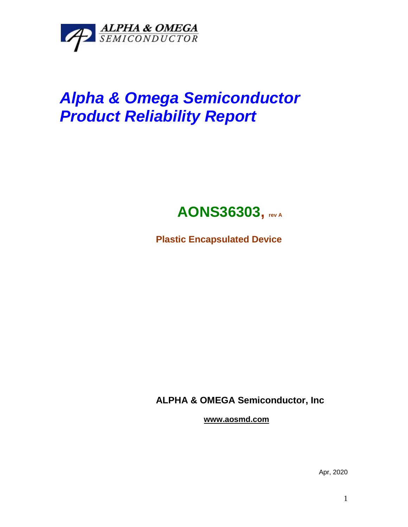

# *Alpha & Omega Semiconductor Product Reliability Report*

## **AONS36303, rev <sup>A</sup>**

**Plastic Encapsulated Device**

**ALPHA & OMEGA Semiconductor, Inc**

**www.aosmd.com**

Apr, 2020